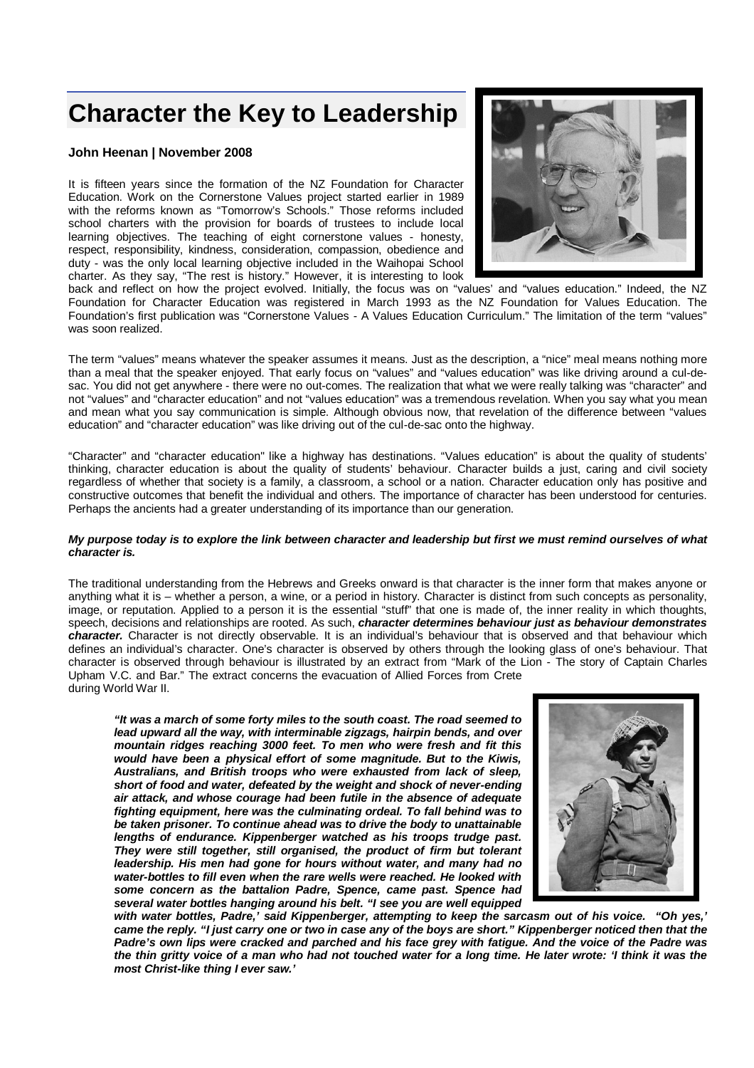# **Character the Key to Leadership**

## **John Heenan | November 2008**

It is fifteen years since the formation of the NZ Foundation for Character Education. Work on the Cornerstone Values project started earlier in 1989 with the reforms known as "Tomorrow's Schools." Those reforms included school charters with the provision for boards of trustees to include local learning objectives. The teaching of eight cornerstone values - honesty, respect, responsibility, kindness, consideration, compassion, obedience and duty - was the only local learning objective included in the Waihopai School charter. As they say, "The rest is history." However, it is interesting to look



back and reflect on how the project evolved. Initially, the focus was on "values' and "values education." Indeed, the NZ Foundation for Character Education was registered in March 1993 as the NZ Foundation for Values Education. The Foundation's first publication was "Cornerstone Values - A Values Education Curriculum." The limitation of the term "values" was soon realized.

The term "values" means whatever the speaker assumes it means. Just as the description, a "nice" meal means nothing more than a meal that the speaker enjoyed. That early focus on "values" and "values education" was like driving around a cul-desac. You did not get anywhere - there were no out-comes. The realization that what we were really talking was "character" and not "values" and "character education" and not "values education" was a tremendous revelation. When you say what you mean and mean what you say communication is simple. Although obvious now, that revelation of the difference between "values education" and "character education" was like driving out of the cul-de-sac onto the highway.

"Character" and "character education" like a highway has destinations. "Values education" is about the quality of students' thinking, character education is about the quality of students' behaviour. Character builds a just, caring and civil society regardless of whether that society is a family, a classroom, a school or a nation. Character education only has positive and constructive outcomes that benefit the individual and others. The importance of character has been understood for centuries. Perhaps the ancients had a greater understanding of its importance than our generation.

#### *My purpose today is to explore the link between character and leadership but first we must remind ourselves of what character is.*

The traditional understanding from the Hebrews and Greeks onward is that character is the inner form that makes anyone or anything what it is – whether a person, a wine, or a period in history. Character is distinct from such concepts as personality, image, or reputation. Applied to a person it is the essential "stuff" that one is made of, the inner reality in which thoughts, speech, decisions and relationships are rooted. As such, *character determines behaviour just as behaviour demonstrates character.* Character is not directly observable. It is an individual's behaviour that is observed and that behaviour which defines an individual's character. One's character is observed by others through the looking glass of one's behaviour. That character is observed through behaviour is illustrated by an extract from "Mark of the Lion - The story of Captain Charles Upham V.C. and Bar." The extract concerns the evacuation of Allied Forces from Crete during World War II.

*"It was a march of some forty miles to the south coast. The road seemed to lead upward all the way, with interminable zigzags, hairpin bends, and over mountain ridges reaching 3000 feet. To men who were fresh and fit this would have been a physical effort of some magnitude. But to the Kiwis, Australians, and British troops who were exhausted from lack of sleep, short of food and water, defeated by the weight and shock of never-ending air attack, and whose courage had been futile in the absence of adequate fighting equipment, here was the culminating ordeal. To fall behind was to be taken prisoner. To continue ahead was to drive the body to unattainable lengths of endurance. Kippenberger watched as his troops trudge past. They were still together, still organised, the product of firm but tolerant leadership. His men had gone for hours without water, and many had no water-bottles to fill even when the rare wells were reached. He looked with some concern as the battalion Padre, Spence, came past. Spence had several water bottles hanging around his belt. "I see you are well equipped* 



*with water bottles, Padre,' said Kippenberger, attempting to keep the sarcasm out of his voice. "Oh yes,' came the reply. "I just carry one or two in case any of the boys are short." Kippenberger noticed then that the Padre's own lips were cracked and parched and his face grey with fatigue. And the voice of the Padre was the thin gritty voice of a man who had not touched water for a long time. He later wrote: 'I think it was the most Christ-like thing I ever saw.'*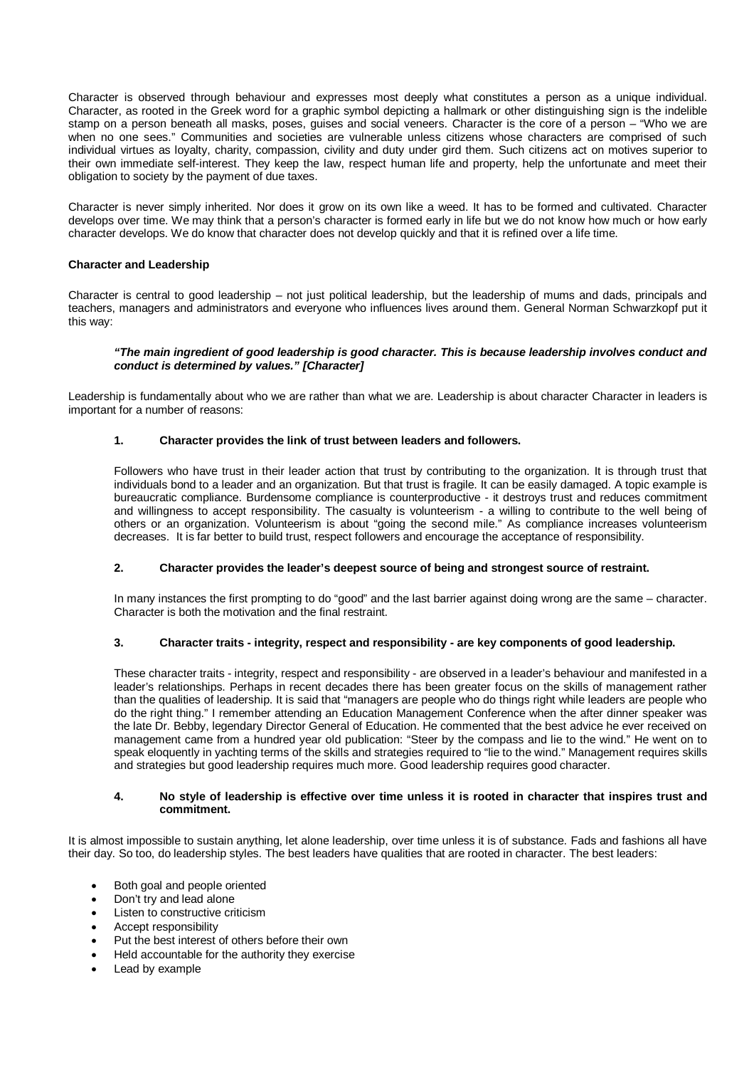Character is observed through behaviour and expresses most deeply what constitutes a person as a unique individual. Character, as rooted in the Greek word for a graphic symbol depicting a hallmark or other distinguishing sign is the indelible stamp on a person beneath all masks, poses, guises and social veneers. Character is the core of a person – "Who we are when no one sees." Communities and societies are vulnerable unless citizens whose characters are comprised of such individual virtues as loyalty, charity, compassion, civility and duty under gird them. Such citizens act on motives superior to their own immediate self-interest. They keep the law, respect human life and property, help the unfortunate and meet their obligation to society by the payment of due taxes.

Character is never simply inherited. Nor does it grow on its own like a weed. It has to be formed and cultivated. Character develops over time. We may think that a person's character is formed early in life but we do not know how much or how early character develops. We do know that character does not develop quickly and that it is refined over a life time.

## **Character and Leadership**

Character is central to good leadership – not just political leadership, but the leadership of mums and dads, principals and teachers, managers and administrators and everyone who influences lives around them. General Norman Schwarzkopf put it this way:

#### *"The main ingredient of good leadership is good character. This is because leadership involves conduct and conduct is determined by values." [Character]*

Leadership is fundamentally about who we are rather than what we are. Leadership is about character Character in leaders is important for a number of reasons:

## **1. Character provides the link of trust between leaders and followers.**

Followers who have trust in their leader action that trust by contributing to the organization. It is through trust that individuals bond to a leader and an organization. But that trust is fragile. It can be easily damaged. A topic example is bureaucratic compliance. Burdensome compliance is counterproductive - it destroys trust and reduces commitment and willingness to accept responsibility. The casualty is volunteerism - a willing to contribute to the well being of others or an organization. Volunteerism is about "going the second mile." As compliance increases volunteerism decreases. It is far better to build trust, respect followers and encourage the acceptance of responsibility.

#### **2. Character provides the leader's deepest source of being and strongest source of restraint.**

In many instances the first prompting to do "good" and the last barrier against doing wrong are the same – character. Character is both the motivation and the final restraint.

#### **3. Character traits - integrity, respect and responsibility - are key components of good leadership.**

These character traits - integrity, respect and responsibility - are observed in a leader's behaviour and manifested in a leader's relationships. Perhaps in recent decades there has been greater focus on the skills of management rather than the qualities of leadership. It is said that "managers are people who do things right while leaders are people who do the right thing." I remember attending an Education Management Conference when the after dinner speaker was the late Dr. Bebby, legendary Director General of Education. He commented that the best advice he ever received on management came from a hundred year old publication: "Steer by the compass and lie to the wind." He went on to speak eloquently in yachting terms of the skills and strategies required to "lie to the wind." Management requires skills and strategies but good leadership requires much more. Good leadership requires good character.

#### **4. No style of leadership is effective over time unless it is rooted in character that inspires trust and commitment.**

It is almost impossible to sustain anything, let alone leadership, over time unless it is of substance. Fads and fashions all have their day. So too, do leadership styles. The best leaders have qualities that are rooted in character. The best leaders:

- Both goal and people oriented
- Don't try and lead alone
- Listen to constructive criticism
- Accept responsibility
- Put the best interest of others before their own
- Held accountable for the authority they exercise
- Lead by example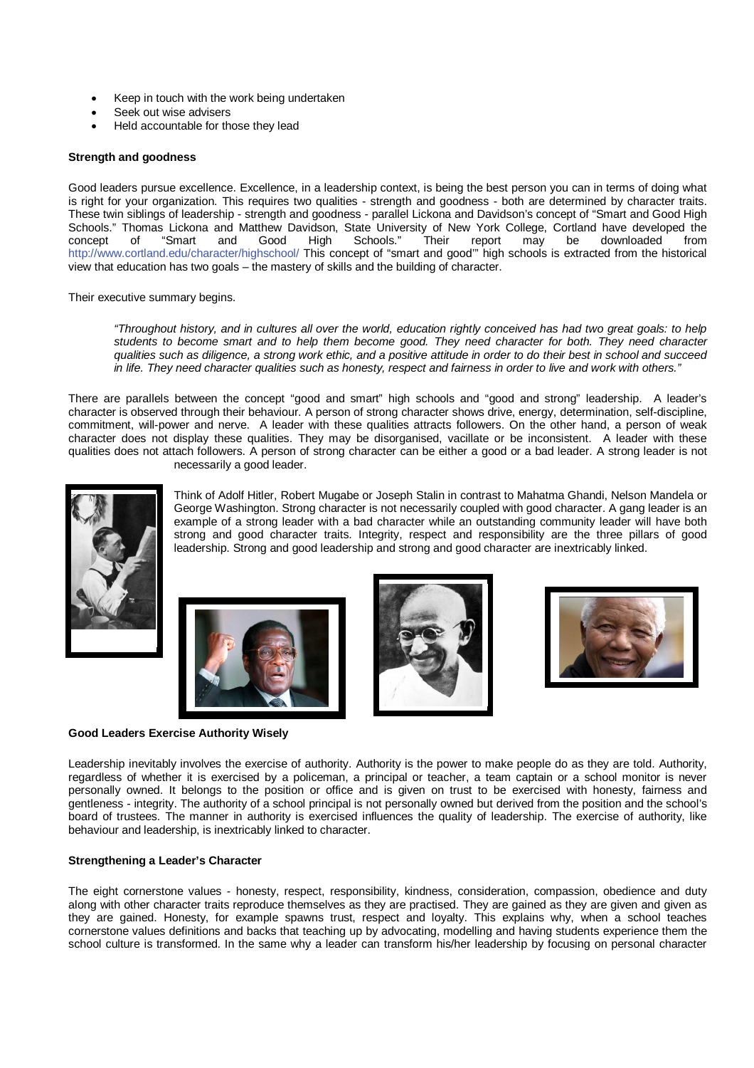- Keep in touch with the work being undertaken
- Seek out wise advisers
- Held accountable for those they lead

## **Strength and goodness**

Good leaders pursue excellence. Excellence, in a leadership context, is being the best person you can in terms of doing what is right for your organization. This requires two qualities - strength and goodness - both are determined by character traits. These twin siblings of leadership - strength and goodness - parallel Lickona and Davidson's concept of "Smart and Good High Schools." Thomas Lickona and Matthew Davidson, State University of New York College, Cortland have developed the concept of "Smart and Good High Schools." Their report may be downloaded from concept of "Smart and Good High Schools." Their report may be downloaded from http://www.cortland.edu/character/highschool/ This concept of "smart and good'" high schools is extracted from the historical view that education has two goals – the mastery of skills and the building of character.

Their executive summary begins.

*"Throughout history, and in cultures all over the world, education rightly conceived has had two great goals: to help students to become smart and to help them become good. They need character for both. They need character qualities such as diligence, a strong work ethic, and a positive attitude in order to do their best in school and succeed in life. They need character qualities such as honesty, respect and fairness in order to live and work with others."*

There are parallels between the concept "good and smart" high schools and "good and strong" leadership. A leader's character is observed through their behaviour. A person of strong character shows drive, energy, determination, self-discipline, commitment, will-power and nerve. A leader with these qualities attracts followers. On the other hand, a person of weak character does not display these qualities. They may be disorganised, vacillate or be inconsistent. A leader with these qualities does not attach followers. A person of strong character can be either a good or a bad leader. A strong leader is not necessarily a good leader.



Think of Adolf Hitler, Robert Mugabe or Joseph Stalin in contrast to Mahatma Ghandi, Nelson Mandela or George Washington. Strong character is not necessarily coupled with good character. A gang leader is an example of a strong leader with a bad character while an outstanding community leader will have both strong and good character traits. Integrity, respect and responsibility are the three pillars of good leadership. Strong and good leadership and strong and good character are inextricably linked.









Leadership inevitably involves the exercise of authority. Authority is the power to make people do as they are told. Authority, regardless of whether it is exercised by a policeman, a principal or teacher, a team captain or a school monitor is never personally owned. It belongs to the position or office and is given on trust to be exercised with honesty, fairness and gentleness - integrity. The authority of a school principal is not personally owned but derived from the position and the school's board of trustees. The manner in authority is exercised influences the quality of leadership. The exercise of authority, like behaviour and leadership, is inextricably linked to character.

#### **Strengthening a Leader's Character**

The eight cornerstone values - honesty, respect, responsibility, kindness, consideration, compassion, obedience and duty along with other character traits reproduce themselves as they are practised. They are gained as they are given and given as they are gained. Honesty, for example spawns trust, respect and loyalty. This explains why, when a school teaches cornerstone values definitions and backs that teaching up by advocating, modelling and having students experience them the school culture is transformed. In the same why a leader can transform his/her leadership by focusing on personal character